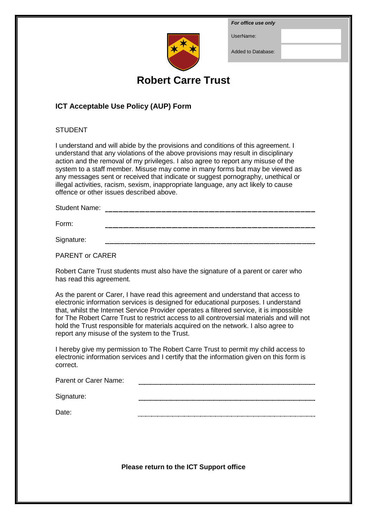*For office use only*

UserName:



Added to Database:

# **Robert Carre Trust**

## **ICT Acceptable Use Policy (AUP) Form**

## **STUDENT**

I understand and will abide by the provisions and conditions of this agreement. I understand that any violations of the above provisions may result in disciplinary action and the removal of my privileges. I also agree to report any misuse of the system to a staff member. Misuse may come in many forms but may be viewed as any messages sent or received that indicate or suggest pornography, unethical or illegal activities, racism, sexism, inappropriate language, any act likely to cause offence or other issues described above.

Student Name:

Form:

Signature:

PARENT or CARER

Robert Carre Trust students must also have the signature of a parent or carer who has read this agreement.

As the parent or Carer, I have read this agreement and understand that access to electronic information services is designed for educational purposes. I understand that, whilst the Internet Service Provider operates a filtered service, it is impossible for The Robert Carre Trust to restrict access to all controversial materials and will not hold the Trust responsible for materials acquired on the network. I also agree to report any misuse of the system to the Trust.

I hereby give my permission to The Robert Carre Trust to permit my child access to electronic information services and I certify that the information given on this form is correct.

| Parent or Carer Name: |  |
|-----------------------|--|
|                       |  |

Signature:

Date:

**Please return to the ICT Support office**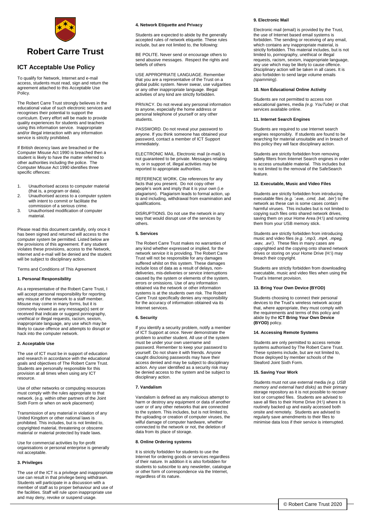

## **Robert Carre Trust**

### **ICT Acceptable Use Policy**

To qualify for Network, Internet and e-mail access, students must read, sign and return the agreement attached to this Acceptable Use Policy.

The Robert Carre Trust strongly believes in the educational value of such electronic services and recognises their potential to support the curriculum. Every effort will be made to provide quality experiences for students and teachers using this information service. Inappropriate and/or illegal interaction with any information service is strictly prohibited.

If British decency laws are breached or the Computer Misuse Act 1990 is breached then a student is likely to have the matter referred to other authorities including the police. The Computer Misuse Act 1990 identifies three specific offences:

- 1. Unauthorised access to computer material (that is, a program or data).
- 2. Unauthorised access to a computer system with intent to commit or facilitate the commission of a serious crime.
- 3. Unauthorised modification of computer material.

Please read this document carefully, only once it has been signed and returned will access to the computer system be permitted. Listed below are the provisions of this agreement. If any student violates these provisions, access to the Network, Internet and e-mail will be denied and the student will be subject to disciplinary action.

Terms and Conditions of This Agreement

#### **1. Personal Responsibility**

As a representative of the Robert Carre Trust, I will accept personal responsibility for reporting any misuse of the network to a staff member. Misuse may come in many forms, but it is commonly viewed as any message(s) sent or received that indicate or suggest pornography, unethical or illegal requests, racism, sexism, inappropriate language, any use which may be  $\frac{1}{y}$  to cause offence and attempts to disrupt or hack into the computer network.

#### **2. Acceptable Use**

The use of ICT must be in support of education and research in accordance with the educational goals and objectives of The Robert Carre Trust. Students are personally responsible for this provision at all times when using any ICT resource.

Use of other networks or computing resources must comply with the rules appropriate to that network. (e.g. within other partners of the Joint Sixth Form or when on work placement)

Transmission of any material in violation of any United Kingdom or other national laws is prohibited. This includes, but is not limited to, copyrighted material, threatening or obscene material or material protected by trade laws.

Use for commercial activities by for-profit organisations or personal enterprise is generally not acceptable.

#### **3. Privileges**

The use of the ICT is a privilege and inappropriate use can result in that privilege being withdrawn. Students will participate in a discussion with a member of staff as to proper behaviour and use of the facilities. Staff will rule upon inappropriate use and may deny, revoke or suspend usage.

#### **4. Network Etiquette and Privacy**

Students are expected to abide by the generally accepted rules of network etiquette. These rules include, but are not limited to, the following:

BE POLITE. Never send or encourage others to send abusive messages. Respect the rights and beliefs of others

USE APPROPRIATE LANGUAGE. Remember that you are a representative of the Trust on a global public system. Never swear, use vulgarities or any other inappropriate language. Illegal activities of any kind are strictly forbidden.

PRIVACY. Do not reveal any personal information to anyone, especially the home address or personal telephone of yourself or any other .<br>students.

PASSWORD. Do not reveal your password to anyone. If you think someone has obtained your password, contact a member of ICT Support immediately.

ELECTRONIC MAIL. Electronic mail (e-mail) is not guaranteed to be private. Messages relating to, or in support of, illegal activities may be reported to appropriate authorities.

REFERENCE WORK. Cite references for any facts that you present. Do not copy other people's work and imply that it is your own (i.e plagiarism). Plagiarism leads to formal action, up to and including, withdrawal from examination and qualifications.

DISRUPTIONS. Do not use the network in any way that would disrupt use of the services by others.

#### **5. Services**

The Robert Carre Trust makes no warranties of any kind whether expressed or implied, for the network service it is providing. The Robert Carre Trust will not be responsible for any damages suffered whilst on this system. These damages include loss of data as a result of delays, nondeliveries, mis-deliveries or service interruptions caused by the system or elements of the system, errors or omissions. Use of any information obtained via the network or other information systems is at the students own risk. The Robert Carre Trust specifically denies any responsibility for the accuracy of information obtained via its Internet services.

#### **6. Security**

If you identify a security problem, notify a member of ICT Support at once. Never demonstrate the problem to another student. All use of the system must be under your own username and password. Remember to keep your password to yourself. Do not share it with friends. Anyone caught disclosing passwords may have their access denied and may be subject to disciplinary action. Any user identified as a security risk may be denied access to the system and be subject to disciplinary action.

#### **7. Vandalism**

Vandalism is defined as any malicious attempt to harm or destroy any equipment or data of another user or of any other networks that are connected to the system. This includes, but is not limited to, the uploading or creation of computer viruses, the wilful damage of computer hardware, whether connected to the network or not, the deletion of data from its place of storage.

#### **8. Online Ordering systems**

It is strictly forbidden for students to use the Internet for ordering goods or services regardless of their nature. In addition it is also forbidden for students to subscribe to any newsletter, catalogue or other form of correspondence via the Internet, regardless of its nature.

#### **9. Electronic Mail**

Electronic mail (email) is provided by the Trust, the use of Internet based email systems is forbidden. The sending or receiving of any email, which contains any inappropriate material, is strictly forbidden. This material includes, but is not limited to, pornography, unethical or illegal requests, racism, sexism, inappropriate language, any use which may be likely to cause offence. Disciplinary action will be taken in all cases. It is also forbidden to send large volume emails *(spamming)*.

#### **10. Non Educational Online Activity**

Students are not permitted to access non educational games, media *(e.g. YouTube)* or chat services available online.

#### **11. Internet Search Engines**

Students are required to use Internet search engines responsibly. If students are found to be searching for material unsuitable and in breach of this policy they will face disciplinary action.

Students are strictly forbidden from removing safety filters from Internet Search engines in order to access unsuitable material. This includes but is not limited to the removal of the SafeSearch feature.

#### **12. Executable, Music and Video Files**

Students are strictly forbidden from introducing executable files *(e.g. '.exe, .cmd, .bat, .bin'*) to the network as these can is some cases contain harmful viruses. This includes but is not limited to copying such files onto shared network drives, saving them on your Home Area (H:\) and running them from your USB memory stick.

Students are strictly forbidden from introducing music and video files *(e.g. '.mp3, .mp4, .mpeg, .wav, .avi')*. These files in many cases are copyrighted and the copying onto shared network drives or storing on your Home Drive (H:\) may breach their copyright.

Students are strictly forbidden from downloading executable, music and video files when using the Trust's Internet provision.

#### **13. Bring Your Own Device (BYOD)**

Students choosing to connect their personal devices to the Trust's wireless network accept that, where appropriate, they must comply with the requirements and terms of this policy and abide by the **ICT Bring Your Own Device (BYOD)** policy.

#### **14. Accessing Remote Systems**

Students are only permitted to access remote systems authorised by The Robert Carre Trust. These systems include, but are not limited to, those deployed by member schools of the Sleaford Joint Sixth Form.

#### **15. Saving Your Work**

Students must not use external media *(e.g. USB memory and external hard disks)* as their primary storage repository as it is not possible to recover lost or corrupted files. Students are advised to save all files to their Home Drive (H:\) where it is routinely backed up and easily accessed both onsite and remotely. Students are advised to regularly save amendments to their files to minimise data loss if their service is interrupted.